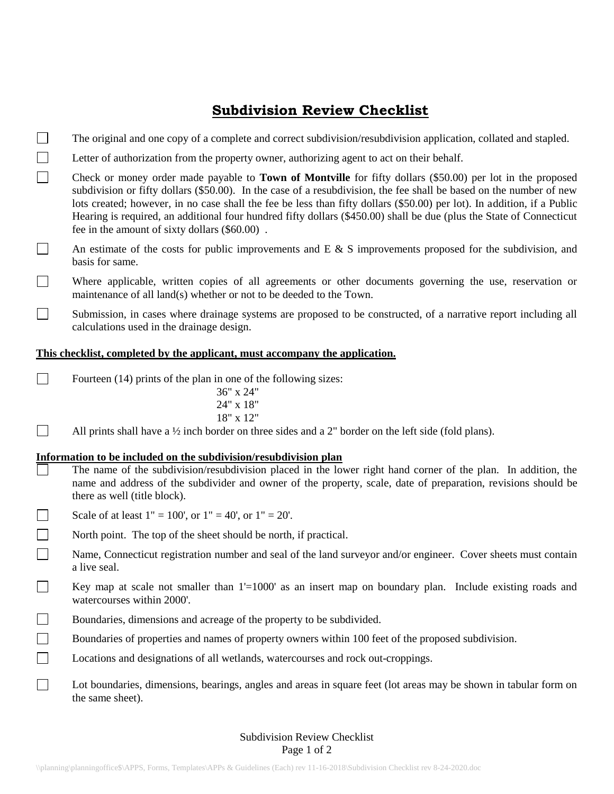# **Subdivision Review Checklist**

- $\Box$ The original and one copy of a complete and correct subdivision/resubdivision application, collated and stapled.
- $\Box$ Letter of authorization from the property owner, authorizing agent to act on their behalf.

 $\Box$ Check or money order made payable to **Town of Montville** for fifty dollars (\$50.00) per lot in the proposed subdivision or fifty dollars (\$50.00). In the case of a resubdivision, the fee shall be based on the number of new lots created; however, in no case shall the fee be less than fifty dollars (\$50.00) per lot). In addition, if a Public Hearing is required, an additional four hundred fifty dollars (\$450.00) shall be due (plus the State of Connecticut fee in the amount of sixty dollars (\$60.00) .

- $\Box$ An estimate of the costs for public improvements and  $E \& S$  improvements proposed for the subdivision, and basis for same.
- $\Box$ Where applicable, written copies of all agreements or other documents governing the use, reservation or maintenance of all land(s) whether or not to be deeded to the Town.
- $\Box$ Submission, in cases where drainage systems are proposed to be constructed, of a narrative report including all calculations used in the drainage design.

#### **This checklist, completed by the applicant, must accompany the application.**

 $\sim 1$ Fourteen (14) prints of the plan in one of the following sizes:

> 36" x 24" 24" x 18" 18" x 12"

All prints shall have a  $\frac{1}{2}$  inch border on three sides and a 2" border on the left side (fold plans).

#### **Information to be included on the subdivision/resubdivision plan**

- The name of the subdivision/resubdivision placed in the lower right hand corner of the plan. In addition, the name and address of the subdivider and owner of the property, scale, date of preparation, revisions should be there as well (title block).
- Scale of at least  $1" = 100'$ , or  $1" = 40'$ , or  $1" = 20'$ .  $\Box$

П

- $\Box$ North point. The top of the sheet should be north, if practical.
- $\Box$ Name, Connecticut registration number and seal of the land surveyor and/or engineer. Cover sheets must contain a live seal.
- $\Box$ Key map at scale not smaller than 1'=1000' as an insert map on boundary plan. Include existing roads and watercourses within 2000'.
- $\Box$ Boundaries, dimensions and acreage of the property to be subdivided.
- $\Box$ Boundaries of properties and names of property owners within 100 feet of the proposed subdivision.
- $\Box$ Locations and designations of all wetlands, watercourses and rock out-croppings.
- $\Box$ Lot boundaries, dimensions, bearings, angles and areas in square feet (lot areas may be shown in tabular form on the same sheet).

### Subdivision Review Checklist Page 1 of 2